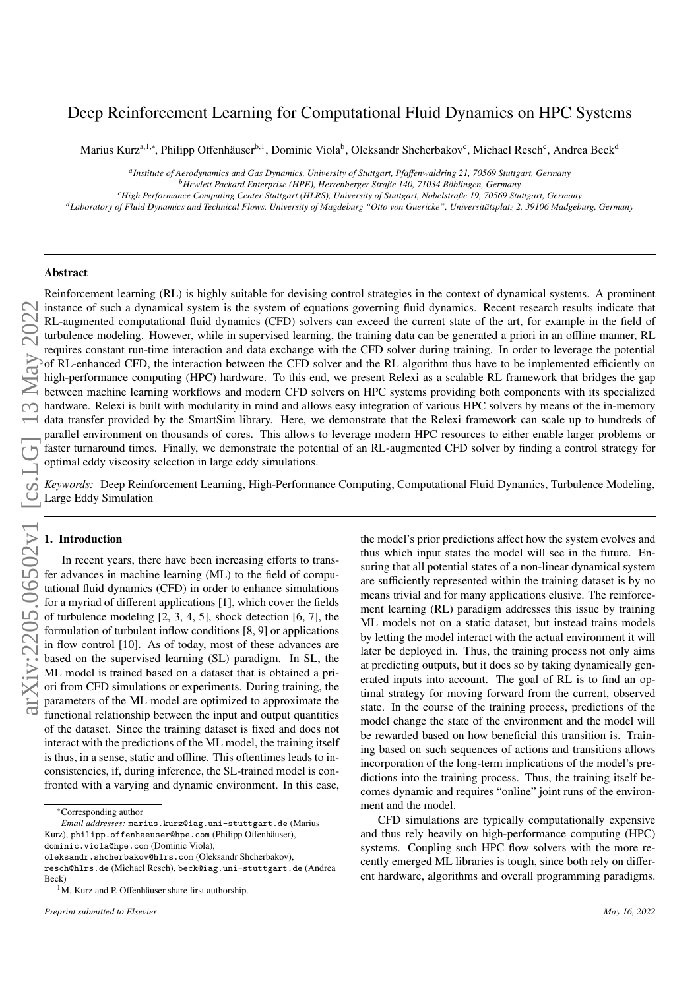# Deep Reinforcement Learning for Computational Fluid Dynamics on HPC Systems

Marius Kurz<sup>a,1,∗</sup>, Philipp Offenhäuser<sup>b,1</sup>, Dominic Viola<sup>b</sup>, Oleksandr Shcherbakov<sup>c</sup>, Michael Resch<sup>c</sup>, Andrea Beck<sup>d</sup>

*a Institute of Aerodynamics and Gas Dynamics, University of Stuttgart, Pfa*ff*enwaldring 21, 70569 Stuttgart, Germany*

<sup>*b*</sup>*Hewlett Packard Enterprise (HPE), Herrenberger Straße 140, 71034 Böblingen, Germany* 

*<sup>c</sup>High Performance Computing Center Stuttgart (HLRS), University of Stuttgart, Nobelstraße 19, 70569 Stuttgart, Germany*

<sup>d</sup>Laboratory of Fluid Dynamics and Technical Flows, University of Magdeburg "Otto von Guericke", Universitätsplatz 2, 39106 Madgeburg, Germany

## Abstract

Reinforcement learning (RL) is highly suitable for devising control strategies in the context of dynamical systems. A prominent instance of such a dynamical system is the system of equations governing fluid dynamics. Recent research results indicate that RL-augmented computational fluid dynamics (CFD) solvers can exceed the current state of the art, for example in the field of turbulence modeling. However, while in supervised learning, the training data can be generated a priori in an offline manner, RL requires constant run-time interaction and data exchange with the CFD solver during training. In order to leverage the potential of RL-enhanced CFD, the interaction between the CFD solver and the RL algorithm thus have to be implemented efficiently on high-performance computing (HPC) hardware. To this end, we present Relexi as a scalable RL framework that bridges the gap between machine learning workflows and modern CFD solvers on HPC systems providing both components with its specialized hardware. Relexi is built with modularity in mind and allows easy integration of various HPC solvers by means of the in-memory data transfer provided by the SmartSim library. Here, we demonstrate that the Relexi framework can scale up to hundreds of parallel environment on thousands of cores. This allows to leverage modern HPC resources to either enable larger problems or faster turnaround times. Finally, we demonstrate the potential of an RL-augmented CFD solver by finding a control strategy for optimal eddy viscosity selection in large eddy simulations.

*Keywords:* Deep Reinforcement Learning, High-Performance Computing, Computational Fluid Dynamics, Turbulence Modeling, Large Eddy Simulation

## 1. Introduction

In recent years, there have been increasing efforts to transfer advances in machine learning (ML) to the field of computational fluid dynamics (CFD) in order to enhance simulations for a myriad of different applications [\[1\]](#page-9-0), which cover the fields of turbulence modeling [\[2,](#page-9-1) [3,](#page-9-2) [4,](#page-9-3) [5\]](#page-9-4), shock detection [\[6,](#page-9-5) [7\]](#page-9-6), the formulation of turbulent inflow conditions [\[8,](#page-9-7) [9\]](#page-9-8) or applications in flow control [\[10\]](#page-9-9). As of today, most of these advances are based on the supervised learning (SL) paradigm. In SL, the ML model is trained based on a dataset that is obtained a priori from CFD simulations or experiments. During training, the parameters of the ML model are optimized to approximate the functional relationship between the input and output quantities of the dataset. Since the training dataset is fixed and does not interact with the predictions of the ML model, the training itself is thus, in a sense, static and offline. This oftentimes leads to inconsistencies, if, during inference, the SL-trained model is confronted with a varying and dynamic environment. In this case,

dominic.viola@hpe.com (Dominic Viola),

the model's prior predictions affect how the system evolves and thus which input states the model will see in the future. Ensuring that all potential states of a non-linear dynamical system are sufficiently represented within the training dataset is by no means trivial and for many applications elusive. The reinforcement learning (RL) paradigm addresses this issue by training ML models not on a static dataset, but instead trains models by letting the model interact with the actual environment it will later be deployed in. Thus, the training process not only aims at predicting outputs, but it does so by taking dynamically generated inputs into account. The goal of RL is to find an optimal strategy for moving forward from the current, observed state. In the course of the training process, predictions of the model change the state of the environment and the model will be rewarded based on how beneficial this transition is. Training based on such sequences of actions and transitions allows incorporation of the long-term implications of the model's predictions into the training process. Thus, the training itself becomes dynamic and requires "online" joint runs of the environment and the model.

CFD simulations are typically computationally expensive and thus rely heavily on high-performance computing (HPC) systems. Coupling such HPC flow solvers with the more recently emerged ML libraries is tough, since both rely on different hardware, algorithms and overall programming paradigms.

<sup>∗</sup>Corresponding author

*Email addresses:* marius.kurz@iag.uni-stuttgart.de (Marius Kurz), philipp.offenhaeuser@hpe.com (Philipp Offenhäuser),

oleksandr.shcherbakov@hlrs.com (Oleksandr Shcherbakov),

resch@hlrs.de (Michael Resch), beck@iag.uni-stuttgart.de (Andrea Beck)

 $1$ M. Kurz and P. Offenhäuser share first authorship.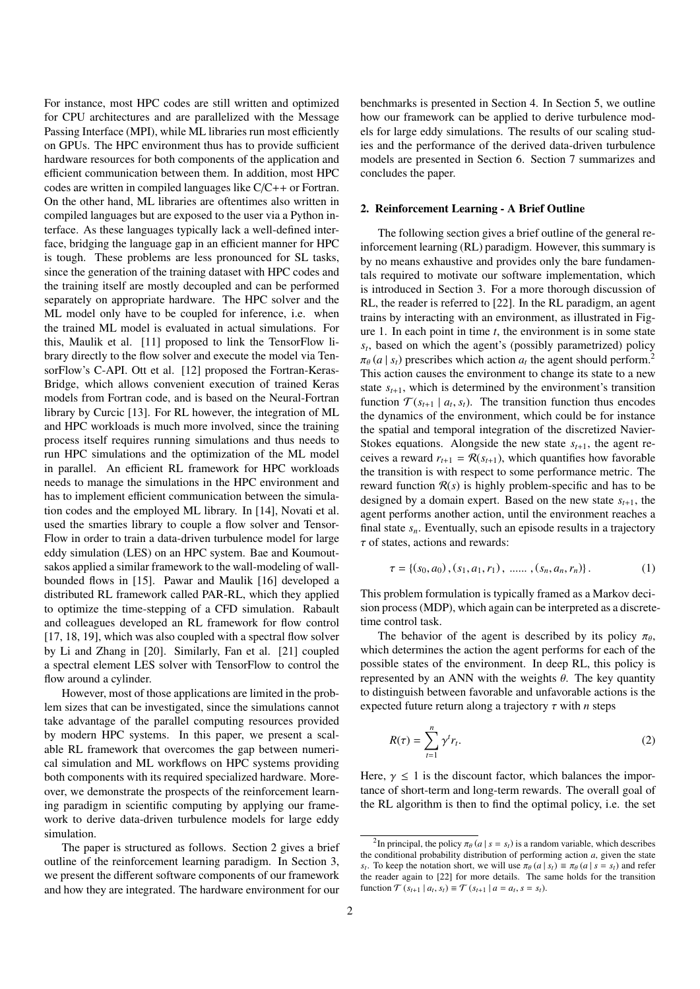For instance, most HPC codes are still written and optimized for CPU architectures and are parallelized with the Message Passing Interface (MPI), while ML libraries run most efficiently on GPUs. The HPC environment thus has to provide sufficient hardware resources for both components of the application and efficient communication between them. In addition, most HPC codes are written in compiled languages like C/C++ or Fortran. On the other hand, ML libraries are oftentimes also written in compiled languages but are exposed to the user via a Python interface. As these languages typically lack a well-defined interface, bridging the language gap in an efficient manner for HPC is tough. These problems are less pronounced for SL tasks, since the generation of the training dataset with HPC codes and the training itself are mostly decoupled and can be performed separately on appropriate hardware. The HPC solver and the ML model only have to be coupled for inference, i.e. when the trained ML model is evaluated in actual simulations. For this, Maulik et al. [\[11\]](#page-9-10) proposed to link the TensorFlow library directly to the flow solver and execute the model via TensorFlow's C-API. Ott et al. [\[12\]](#page-9-11) proposed the Fortran-Keras-Bridge, which allows convenient execution of trained Keras models from Fortran code, and is based on the Neural-Fortran library by Curcic [\[13\]](#page-9-12). For RL however, the integration of ML and HPC workloads is much more involved, since the training process itself requires running simulations and thus needs to run HPC simulations and the optimization of the ML model in parallel. An efficient RL framework for HPC workloads needs to manage the simulations in the HPC environment and has to implement efficient communication between the simulation codes and the employed ML library. In [\[14\]](#page-9-13), Novati et al. used the smarties library to couple a flow solver and Tensor-Flow in order to train a data-driven turbulence model for large eddy simulation (LES) on an HPC system. Bae and Koumoutsakos applied a similar framework to the wall-modeling of wallbounded flows in [\[15\]](#page-10-0). Pawar and Maulik [\[16\]](#page-10-1) developed a distributed RL framework called PAR-RL, which they applied to optimize the time-stepping of a CFD simulation. Rabault and colleagues developed an RL framework for flow control [\[17,](#page-10-2) [18,](#page-10-3) [19\]](#page-10-4), which was also coupled with a spectral flow solver by Li and Zhang in [\[20\]](#page-10-5). Similarly, Fan et al. [\[21\]](#page-10-6) coupled a spectral element LES solver with TensorFlow to control the flow around a cylinder.

However, most of those applications are limited in the problem sizes that can be investigated, since the simulations cannot take advantage of the parallel computing resources provided by modern HPC systems. In this paper, we present a scalable RL framework that overcomes the gap between numerical simulation and ML workflows on HPC systems providing both components with its required specialized hardware. Moreover, we demonstrate the prospects of the reinforcement learning paradigm in scientific computing by applying our framework to derive data-driven turbulence models for large eddy simulation.

The paper is structured as follows. Section [2](#page-1-0) gives a brief outline of the reinforcement learning paradigm. In Section [3,](#page-2-0) we present the different software components of our framework and how they are integrated. The hardware environment for our

benchmarks is presented in Section [4.](#page-4-0) In Section [5,](#page-4-1) we outline how our framework can be applied to derive turbulence models for large eddy simulations. The results of our scaling studies and the performance of the derived data-driven turbulence models are presented in Section [6.](#page-6-0) Section [7](#page-7-0) summarizes and concludes the paper.

## <span id="page-1-0"></span>2. Reinforcement Learning - A Brief Outline

The following section gives a brief outline of the general reinforcement learning (RL) paradigm. However, this summary is by no means exhaustive and provides only the bare fundamentals required to motivate our software implementation, which is introduced in Section [3.](#page-2-0) For a more thorough discussion of RL, the reader is referred to [\[22\]](#page-10-7). In the RL paradigm, an agent trains by interacting with an environment, as illustrated in Figure [1.](#page-2-1) In each point in time *t*, the environment is in some state *st* , based on which the agent's (possibly parametrized) policy  $\pi_{\theta}(a \mid s_t)$  prescribes which action  $a_t$  the agent should perform.<sup>[2](#page-1-1)</sup> This action causes the environment to change its state to a new state  $s_{t+1}$ , which is determined by the environment's transition function  $\mathcal{T}(s_{t+1} | a_t, s_t)$ . The transition function thus encodes the dynamics of the environment, which could be for instance the spatial and temporal integration of the discretized Navier-Stokes equations. Alongside the new state  $s_{t+1}$ , the agent receives a reward  $r_{t+1} = \mathcal{R}(s_{t+1})$ , which quantifies how favorable the transition is with respect to some performance metric. The reward function  $R(s)$  is highly problem-specific and has to be designed by a domain expert. Based on the new state  $s_{t+1}$ , the agent performs another action, until the environment reaches a final state *sn*. Eventually, such an episode results in a trajectory  $\tau$  of states, actions and rewards:

$$
\tau = \{ (s_0, a_0), (s_1, a_1, r_1), \dots, (s_n, a_n, r_n) \}.
$$
 (1)

This problem formulation is typically framed as a Markov decision process (MDP), which again can be interpreted as a discretetime control task.

The behavior of the agent is described by its policy  $\pi_{\theta}$ , which determines the action the agent performs for each of the possible states of the environment. In deep RL, this policy is represented by an ANN with the weights  $\theta$ . The key quantity to distinguish between favorable and unfavorable actions is the expected future return along a trajectory  $\tau$  with *n* steps

$$
R(\tau) = \sum_{t=1}^{n} \gamma^t r_t.
$$
 (2)

Here,  $\gamma \leq 1$  is the discount factor, which balances the importance of short-term and long-term rewards. The overall goal of the RL algorithm is then to find the optimal policy, i.e. the set

<span id="page-1-1"></span><sup>&</sup>lt;sup>2</sup>In principal, the policy  $\pi_{\theta}$  (*a* | *s* = *s*<sub>*t*</sub>) is a random variable, which describes the conditional probability distribution of performing action *a*, given the state *s*<sub>*t*</sub>. To keep the notation short, we will use  $\pi_{\theta}(a \mid s_t) \equiv \pi_{\theta}(a \mid s = s_t)$  and refer the reader again to [\[22\]](#page-10-7) for more details. The same holds for the transition function  $\mathcal{T}(s_{t+1} | a_t, s_t) \equiv \mathcal{T}(s_{t+1} | a = a_t, s = s_t).$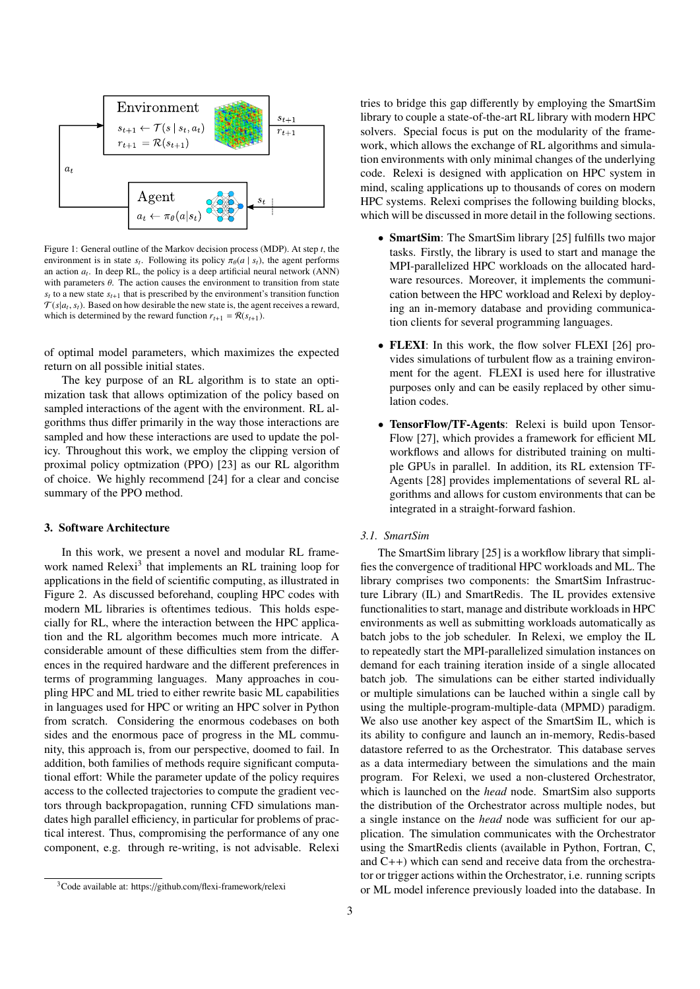

<span id="page-2-1"></span>Figure 1: General outline of the Markov decision process (MDP). At step *t*, the environment is in state  $s_t$ . Following its policy  $\pi_\theta(a \mid s_t)$ , the agent performs an action  $a_t$ . In deep RL, the policy is a deep artificial neural network  $(ANN)$ with parameters  $\theta$ . The action causes the environment to transition from state  $s_t$  to a new state  $s_{t+1}$  that is prescribed by the environment's transition function  $T(s|a_t, s_t)$ . Based on how desirable the new state is, the agent receives a reward, which is determined by the reward function  $r_{t+1} = \mathcal{R}(s_{t+1})$ .

of optimal model parameters, which maximizes the expected return on all possible initial states.

The key purpose of an RL algorithm is to state an optimization task that allows optimization of the policy based on sampled interactions of the agent with the environment. RL algorithms thus differ primarily in the way those interactions are sampled and how these interactions are used to update the policy. Throughout this work, we employ the clipping version of proximal policy optmization (PPO) [\[23\]](#page-10-8) as our RL algorithm of choice. We highly recommend [\[24\]](#page-10-9) for a clear and concise summary of the PPO method.

## <span id="page-2-0"></span>3. Software Architecture

In this work, we present a novel and modular RL frame-work named Relexi<sup>[3](#page-2-2)</sup> that implements an RL training loop for applications in the field of scientific computing, as illustrated in Figure [2.](#page-3-0) As discussed beforehand, coupling HPC codes with modern ML libraries is oftentimes tedious. This holds especially for RL, where the interaction between the HPC application and the RL algorithm becomes much more intricate. A considerable amount of these difficulties stem from the differences in the required hardware and the different preferences in terms of programming languages. Many approaches in coupling HPC and ML tried to either rewrite basic ML capabilities in languages used for HPC or writing an HPC solver in Python from scratch. Considering the enormous codebases on both sides and the enormous pace of progress in the ML community, this approach is, from our perspective, doomed to fail. In addition, both families of methods require significant computational effort: While the parameter update of the policy requires access to the collected trajectories to compute the gradient vectors through backpropagation, running CFD simulations mandates high parallel efficiency, in particular for problems of practical interest. Thus, compromising the performance of any one component, e.g. through re-writing, is not advisable. Relexi

tries to bridge this gap differently by employing the SmartSim library to couple a state-of-the-art RL library with modern HPC solvers. Special focus is put on the modularity of the framework, which allows the exchange of RL algorithms and simulation environments with only minimal changes of the underlying code. Relexi is designed with application on HPC system in mind, scaling applications up to thousands of cores on modern HPC systems. Relexi comprises the following building blocks, which will be discussed in more detail in the following sections.

- SmartSim: The SmartSim library [\[25\]](#page-10-10) fulfills two major tasks. Firstly, the library is used to start and manage the MPI-parallelized HPC workloads on the allocated hardware resources. Moreover, it implements the communication between the HPC workload and Relexi by deploying an in-memory database and providing communication clients for several programming languages.
- FLEXI: In this work, the flow solver FLEXI [\[26\]](#page-10-11) provides simulations of turbulent flow as a training environment for the agent. FLEXI is used here for illustrative purposes only and can be easily replaced by other simulation codes.
- TensorFlow/TF-Agents: Relexi is build upon Tensor-Flow [\[27\]](#page-10-12), which provides a framework for efficient ML workflows and allows for distributed training on multiple GPUs in parallel. In addition, its RL extension TF-Agents [\[28\]](#page-10-13) provides implementations of several RL algorithms and allows for custom environments that can be integrated in a straight-forward fashion.

## *3.1. SmartSim*

The SmartSim library [\[25\]](#page-10-10) is a workflow library that simplifies the convergence of traditional HPC workloads and ML. The library comprises two components: the SmartSim Infrastructure Library (IL) and SmartRedis. The IL provides extensive functionalities to start, manage and distribute workloads in HPC environments as well as submitting workloads automatically as batch jobs to the job scheduler. In Relexi, we employ the IL to repeatedly start the MPI-parallelized simulation instances on demand for each training iteration inside of a single allocated batch job. The simulations can be either started individually or multiple simulations can be lauched within a single call by using the multiple-program-multiple-data (MPMD) paradigm. We also use another key aspect of the SmartSim IL, which is its ability to configure and launch an in-memory, Redis-based datastore referred to as the Orchestrator. This database serves as a data intermediary between the simulations and the main program. For Relexi, we used a non-clustered Orchestrator, which is launched on the *head* node. SmartSim also supports the distribution of the Orchestrator across multiple nodes, but a single instance on the *head* node was sufficient for our application. The simulation communicates with the Orchestrator using the SmartRedis clients (available in Python, Fortran, C, and C++) which can send and receive data from the orchestrator or trigger actions within the Orchestrator, i.e. running scripts or ML model inference previously loaded into the database. In

<span id="page-2-2"></span><sup>3</sup>Code available at: https://github.com/[flexi-framework](https://github.com/flexi-framework/relexi)/relexi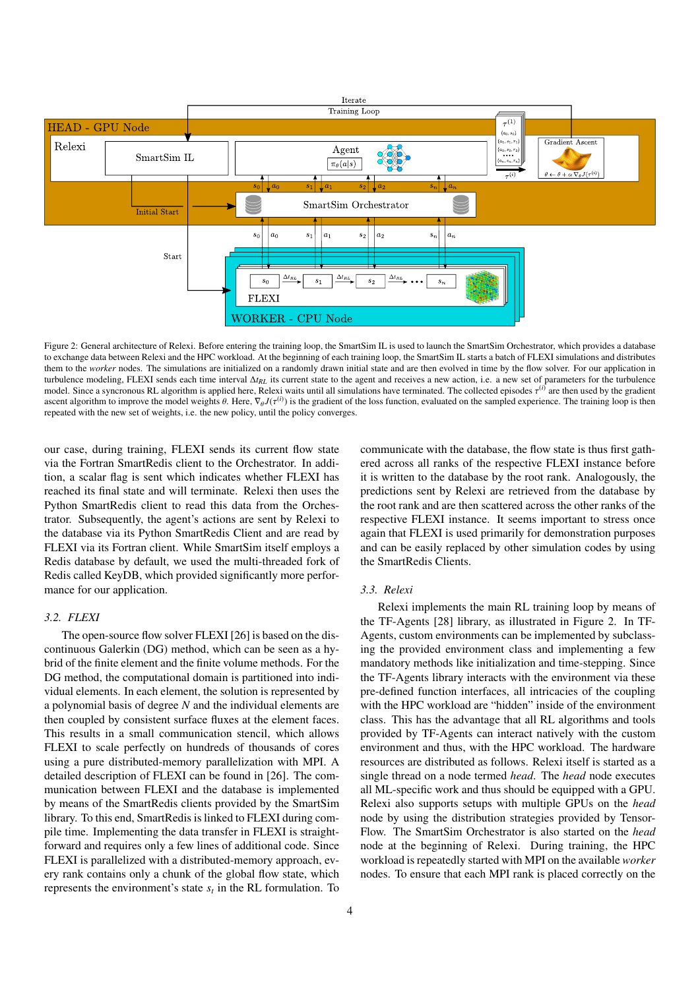

<span id="page-3-0"></span>Figure 2: General architecture of Relexi. Before entering the training loop, the SmartSim IL is used to launch the SmartSim Orchestrator, which provides a database to exchange data between Relexi and the HPC workload. At the beginning of each training loop, the SmartSim IL starts a batch of FLEXI simulations and distributes them to the *worker* nodes. The simulations are initialized on a randomly drawn initial state and are then evolved in time by the flow solver. For our application in turbulence modeling, FLEXI sends each time interval ∆*t<sub>RL</sub>* its current state to the agent and receives a new action, i.e. a new set of parameters for the turbulence model. Since a syncronous RL algorithm is applied here, Relexi waits until all simulations have terminated. The collected episodes τ<sup>(i)</sup> are then used by the gradient ascent algorithm to improve the model weights  $\theta$ . Here,  $\nabla_{\theta} J(\tau^{(i)})$  is the gradient of the loss function, evaluated on the sampled experience. The training loop is then repeated with the new set of weights, i.e. the new policy, until the policy converges.

our case, during training, FLEXI sends its current flow state via the Fortran SmartRedis client to the Orchestrator. In addition, a scalar flag is sent which indicates whether FLEXI has reached its final state and will terminate. Relexi then uses the Python SmartRedis client to read this data from the Orchestrator. Subsequently, the agent's actions are sent by Relexi to the database via its Python SmartRedis Client and are read by FLEXI via its Fortran client. While SmartSim itself employs a Redis database by default, we used the multi-threaded fork of Redis called KeyDB, which provided significantly more performance for our application.

## *3.2. FLEXI*

The open-source flow solver FLEXI [\[26\]](#page-10-11) is based on the discontinuous Galerkin (DG) method, which can be seen as a hybrid of the finite element and the finite volume methods. For the DG method, the computational domain is partitioned into individual elements. In each element, the solution is represented by a polynomial basis of degree *N* and the individual elements are then coupled by consistent surface fluxes at the element faces. This results in a small communication stencil, which allows FLEXI to scale perfectly on hundreds of thousands of cores using a pure distributed-memory parallelization with MPI. A detailed description of FLEXI can be found in [\[26\]](#page-10-11). The communication between FLEXI and the database is implemented by means of the SmartRedis clients provided by the SmartSim library. To this end, SmartRedis is linked to FLEXI during compile time. Implementing the data transfer in FLEXI is straightforward and requires only a few lines of additional code. Since FLEXI is parallelized with a distributed-memory approach, every rank contains only a chunk of the global flow state, which represents the environment's state  $s_t$  in the RL formulation. To

communicate with the database, the flow state is thus first gathered across all ranks of the respective FLEXI instance before it is written to the database by the root rank. Analogously, the predictions sent by Relexi are retrieved from the database by the root rank and are then scattered across the other ranks of the respective FLEXI instance. It seems important to stress once again that FLEXI is used primarily for demonstration purposes and can be easily replaced by other simulation codes by using the SmartRedis Clients.

## *3.3. Relexi*

Relexi implements the main RL training loop by means of the TF-Agents [\[28\]](#page-10-13) library, as illustrated in Figure [2.](#page-3-0) In TF-Agents, custom environments can be implemented by subclassing the provided environment class and implementing a few mandatory methods like initialization and time-stepping. Since the TF-Agents library interacts with the environment via these pre-defined function interfaces, all intricacies of the coupling with the HPC workload are "hidden" inside of the environment class. This has the advantage that all RL algorithms and tools provided by TF-Agents can interact natively with the custom environment and thus, with the HPC workload. The hardware resources are distributed as follows. Relexi itself is started as a single thread on a node termed *head*. The *head* node executes all ML-specific work and thus should be equipped with a GPU. Relexi also supports setups with multiple GPUs on the *head* node by using the distribution strategies provided by Tensor-Flow. The SmartSim Orchestrator is also started on the *head* node at the beginning of Relexi. During training, the HPC workload is repeatedly started with MPI on the available *worker* nodes. To ensure that each MPI rank is placed correctly on the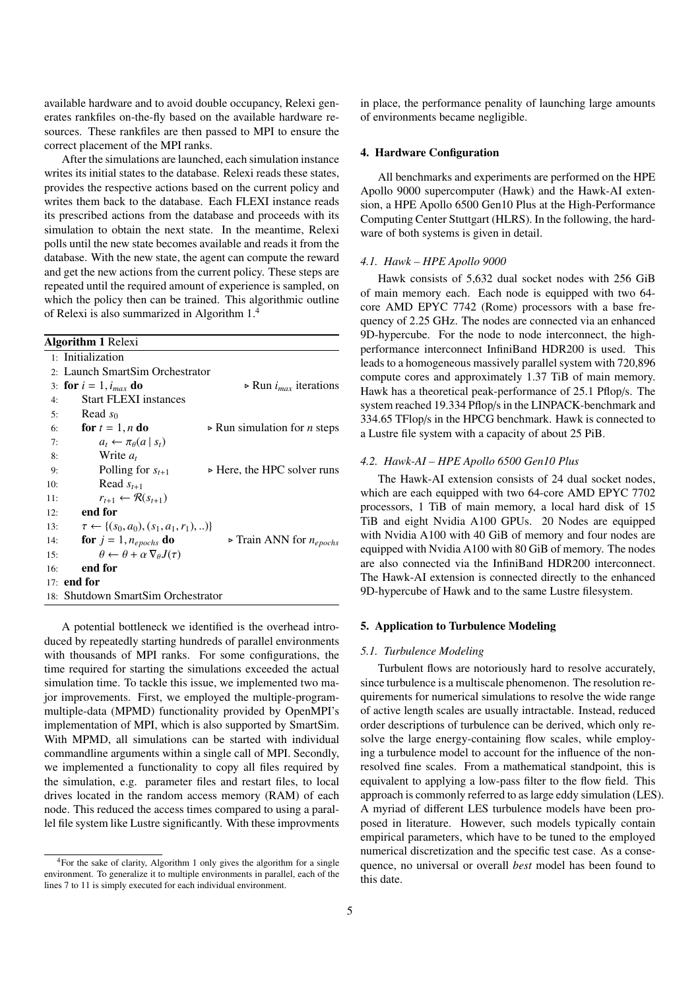available hardware and to avoid double occupancy, Relexi generates rankfiles on-the-fly based on the available hardware resources. These rankfiles are then passed to MPI to ensure the correct placement of the MPI ranks.

After the simulations are launched, each simulation instance writes its initial states to the database. Relexi reads these states, provides the respective actions based on the current policy and writes them back to the database. Each FLEXI instance reads its prescribed actions from the database and proceeds with its simulation to obtain the next state. In the meantime, Relexi polls until the new state becomes available and reads it from the database. With the new state, the agent can compute the reward and get the new actions from the current policy. These steps are repeated until the required amount of experience is sampled, on which the policy then can be trained. This algorithmic outline of Relexi is also summarized in Algorithm [1.](#page-4-2)[4](#page-4-3)

<span id="page-4-2"></span>

| <b>Algorithm 1 Relexi</b> |                                                             |                                                    |  |  |  |  |  |  |
|---------------------------|-------------------------------------------------------------|----------------------------------------------------|--|--|--|--|--|--|
|                           | 1: Initialization                                           |                                                    |  |  |  |  |  |  |
|                           | 2: Launch SmartSim Orchestrator                             |                                                    |  |  |  |  |  |  |
|                           | 3: for $i = 1$ , $i_{max}$ do                               | $\triangleright$ Run $i_{max}$ iterations          |  |  |  |  |  |  |
| 4:                        | <b>Start FLEXI instances</b>                                |                                                    |  |  |  |  |  |  |
| 5:                        | Read $s_0$                                                  |                                                    |  |  |  |  |  |  |
| 6:                        | for $t = 1, n$ do                                           | $\triangleright$ Run simulation for <i>n</i> steps |  |  |  |  |  |  |
| 7:                        | $a_t \leftarrow \pi_\theta(a \mid s_t)$                     |                                                    |  |  |  |  |  |  |
| 8:                        | Write $a_t$                                                 |                                                    |  |  |  |  |  |  |
| 9:                        | Polling for $s_{t+1}$                                       | $\triangleright$ Here, the HPC solver runs         |  |  |  |  |  |  |
| 10:                       | Read $s_{t+1}$                                              |                                                    |  |  |  |  |  |  |
| 11:                       | $r_{t+1} \leftarrow \mathcal{R}(s_{t+1})$                   |                                                    |  |  |  |  |  |  |
| 12:                       | end for                                                     |                                                    |  |  |  |  |  |  |
| 13:                       | $\tau \leftarrow \{(s_0, a_0), (s_1, a_1, r_1), \ldots\}$   |                                                    |  |  |  |  |  |  |
| 14:                       | for $j = 1$ , $n_{epochs}$ do                               | $\triangleright$ Train ANN for $n_{epochs}$        |  |  |  |  |  |  |
| 15:                       | $\theta \leftarrow \theta + \alpha \nabla_{\theta} J(\tau)$ |                                                    |  |  |  |  |  |  |
| 16:                       | end for                                                     |                                                    |  |  |  |  |  |  |
| 17:                       | end for                                                     |                                                    |  |  |  |  |  |  |
|                           | 18: Shutdown SmartSim Orchestrator                          |                                                    |  |  |  |  |  |  |

A potential bottleneck we identified is the overhead introduced by repeatedly starting hundreds of parallel environments with thousands of MPI ranks. For some configurations, the time required for starting the simulations exceeded the actual simulation time. To tackle this issue, we implemented two major improvements. First, we employed the multiple-programmultiple-data (MPMD) functionality provided by OpenMPI's implementation of MPI, which is also supported by SmartSim. With MPMD, all simulations can be started with individual commandline arguments within a single call of MPI. Secondly, we implemented a functionality to copy all files required by the simulation, e.g. parameter files and restart files, to local drives located in the random access memory (RAM) of each node. This reduced the access times compared to using a parallel file system like Lustre significantly. With these improvments

in place, the performance penality of launching large amounts of environments became negligible.

## <span id="page-4-0"></span>4. Hardware Configuration

All benchmarks and experiments are performed on the HPE Apollo 9000 supercomputer (Hawk) and the Hawk-AI extension, a HPE Apollo 6500 Gen10 Plus at the High-Performance Computing Center Stuttgart (HLRS). In the following, the hardware of both systems is given in detail.

## *4.1. Hawk – HPE Apollo 9000*

Hawk consists of 5,632 dual socket nodes with 256 GiB of main memory each. Each node is equipped with two 64 core AMD EPYC 7742 (Rome) processors with a base frequency of 2.25 GHz. The nodes are connected via an enhanced 9D-hypercube. For the node to node interconnect, the highperformance interconnect InfiniBand HDR200 is used. This leads to a homogeneous massively parallel system with 720,896 compute cores and approximately 1.37 TiB of main memory. Hawk has a theoretical peak-performance of 25.1 Pflop/s. The system reached 19.334 Pflop/s in the LINPACK-benchmark and 334.65 TFlop/s in the HPCG benchmark. Hawk is connected to a Lustre file system with a capacity of about 25 PiB.

## *4.2. Hawk-AI – HPE Apollo 6500 Gen10 Plus*

The Hawk-AI extension consists of 24 dual socket nodes, which are each equipped with two 64-core AMD EPYC 7702 processors, 1 TiB of main memory, a local hard disk of 15 TiB and eight Nvidia A100 GPUs. 20 Nodes are equipped with Nvidia A100 with 40 GiB of memory and four nodes are equipped with Nvidia A100 with 80 GiB of memory. The nodes are also connected via the InfiniBand HDR200 interconnect. The Hawk-AI extension is connected directly to the enhanced 9D-hypercube of Hawk and to the same Lustre filesystem.

#### <span id="page-4-1"></span>5. Application to Turbulence Modeling

#### *5.1. Turbulence Modeling*

Turbulent flows are notoriously hard to resolve accurately, since turbulence is a multiscale phenomenon. The resolution requirements for numerical simulations to resolve the wide range of active length scales are usually intractable. Instead, reduced order descriptions of turbulence can be derived, which only resolve the large energy-containing flow scales, while employing a turbulence model to account for the influence of the nonresolved fine scales. From a mathematical standpoint, this is equivalent to applying a low-pass filter to the flow field. This approach is commonly referred to as large eddy simulation (LES). A myriad of different LES turbulence models have been proposed in literature. However, such models typically contain empirical parameters, which have to be tuned to the employed numerical discretization and the specific test case. As a consequence, no universal or overall *best* model has been found to this date.

<span id="page-4-3"></span><sup>&</sup>lt;sup>4</sup>For the sake of clarity, Algorithm [1](#page-4-2) only gives the algorithm for a single environment. To generalize it to multiple environments in parallel, each of the lines 7 to 11 is simply executed for each individual environment.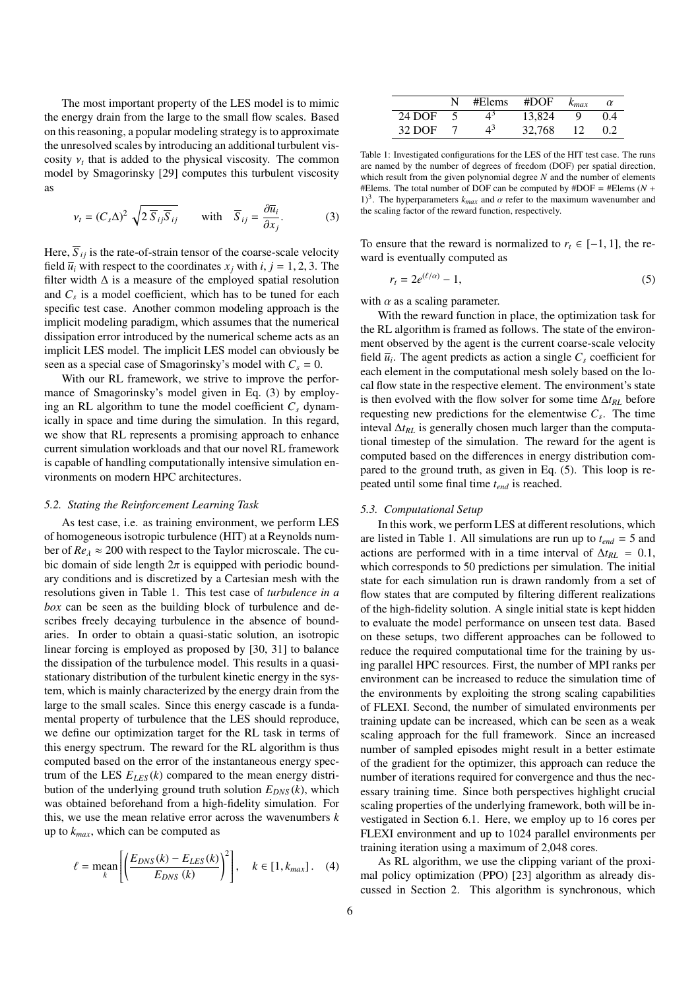The most important property of the LES model is to mimic the energy drain from the large to the small flow scales. Based on this reasoning, a popular modeling strategy is to approximate the unresolved scales by introducing an additional turbulent viscosity  $v_t$  that is added to the physical viscosity. The common model by Smagorinsky [\[29\]](#page-10-14) computes this turbulent viscosity as

<span id="page-5-0"></span>
$$
v_t = (C_s \Delta)^2 \sqrt{2 \overline{S}_{ij} \overline{S}_{ij}} \quad \text{with} \quad \overline{S}_{ij} = \frac{\partial \overline{u}_i}{\partial x_j}.
$$
 (3)

Here,  $\overline{S}_{ij}$  is the rate-of-strain tensor of the coarse-scale velocity field  $\overline{u}_i$  with respect to the coordinates  $x_i$  with  $i, j = 1, 2, 3$ . The filter width  $\Delta$  is a measure of the employed spatial resolution and  $C_s$  is a model coefficient, which has to be tuned for each specific test case. Another common modeling approach is the implicit modeling paradigm, which assumes that the numerical dissipation error introduced by the numerical scheme acts as an implicit LES model. The implicit LES model can obviously be seen as a special case of Smagorinsky's model with  $C_s = 0$ .

With our RL framework, we strive to improve the performance of Smagorinsky's model given in Eq. [\(3\)](#page-5-0) by employing an RL algorithm to tune the model coefficient  $C_s$  dynamically in space and time during the simulation. In this regard, we show that RL represents a promising approach to enhance current simulation workloads and that our novel RL framework is capable of handling computationally intensive simulation environments on modern HPC architectures.

## *5.2. Stating the Reinforcement Learning Task*

As test case, i.e. as training environment, we perform LES of homogeneous isotropic turbulence (HIT) at a Reynolds number of  $Re_\lambda \approx 200$  with respect to the Taylor microscale. The cubic domain of side length  $2\pi$  is equipped with periodic boundary conditions and is discretized by a Cartesian mesh with the resolutions given in Table [1.](#page-5-1) This test case of *turbulence in a box* can be seen as the building block of turbulence and describes freely decaying turbulence in the absence of boundaries. In order to obtain a quasi-static solution, an isotropic linear forcing is employed as proposed by [\[30,](#page-10-15) [31\]](#page-10-16) to balance the dissipation of the turbulence model. This results in a quasistationary distribution of the turbulent kinetic energy in the system, which is mainly characterized by the energy drain from the large to the small scales. Since this energy cascade is a fundamental property of turbulence that the LES should reproduce, we define our optimization target for the RL task in terms of this energy spectrum. The reward for the RL algorithm is thus computed based on the error of the instantaneous energy spectrum of the LES  $E_{LES}(k)$  compared to the mean energy distribution of the underlying ground truth solution  $E_{DNS}(k)$ , which was obtained beforehand from a high-fidelity simulation. For this, we use the mean relative error across the wavenumbers *k* up to *kmax*, which can be computed as

$$
\ell = \operatorname{mean}_{k} \left[ \left( \frac{E_{DNS}(k) - E_{LES}(k)}{E_{DNS}(k)} \right)^{2} \right], \quad k \in [1, k_{max}] \,. \tag{4}
$$

|        | #Elems                   | # $DOF$ | $k_{max}$ | $\alpha$ |
|--------|--------------------------|---------|-----------|----------|
| 24 DOF | $\Lambda^{\mathfrak{z}}$ | 13.824  |           | 0.4      |
| 32 DOE | $\Lambda^3$              | 32,768  |           |          |

<span id="page-5-1"></span>Table 1: Investigated configurations for the LES of the HIT test case. The runs are named by the number of degrees of freedom (DOF) per spatial direction, which result from the given polynomial degree *N* and the number of elements #Elems. The total number of DOF can be computed by #DOF = #Elems (*N* + 1)<sup>3</sup>. The hyperparameters  $k_{max}$  and  $\alpha$  refer to the maximum wavenumber and the scaling factor of the reward function, respectively.

To ensure that the reward is normalized to  $r_t \in [-1, 1]$ , the reward is eventually computed as

<span id="page-5-2"></span>
$$
r_t = 2e^{(\ell/\alpha)} - 1,\tag{5}
$$

with  $\alpha$  as a scaling parameter.

With the reward function in place, the optimization task for the RL algorithm is framed as follows. The state of the environment observed by the agent is the current coarse-scale velocity field  $\overline{u}_i$ . The agent predicts as action a single  $C_s$  coefficient for each element in the computational mesh solely based on the local flow state in the respective element. The environment's state is then evolved with the flow solver for some time ∆*tRL* before requesting new predictions for the elementwise  $C_s$ . The time inteval ∆*tRL* is generally chosen much larger than the computational timestep of the simulation. The reward for the agent is computed based on the differences in energy distribution compared to the ground truth, as given in Eq. [\(5\)](#page-5-2). This loop is repeated until some final time *tend* is reached.

#### *5.3. Computational Setup*

In this work, we perform LES at different resolutions, which are listed in Table [1.](#page-5-1) All simulations are run up to *tend* = 5 and actions are performed with in a time interval of  $\Delta t_{RL} = 0.1$ , which corresponds to 50 predictions per simulation. The initial state for each simulation run is drawn randomly from a set of flow states that are computed by filtering different realizations of the high-fidelity solution. A single initial state is kept hidden to evaluate the model performance on unseen test data. Based on these setups, two different approaches can be followed to reduce the required computational time for the training by using parallel HPC resources. First, the number of MPI ranks per environment can be increased to reduce the simulation time of the environments by exploiting the strong scaling capabilities of FLEXI. Second, the number of simulated environments per training update can be increased, which can be seen as a weak scaling approach for the full framework. Since an increased number of sampled episodes might result in a better estimate of the gradient for the optimizer, this approach can reduce the number of iterations required for convergence and thus the necessary training time. Since both perspectives highlight crucial scaling properties of the underlying framework, both will be investigated in Section [6.1.](#page-6-1) Here, we employ up to 16 cores per FLEXI environment and up to 1024 parallel environments per training iteration using a maximum of 2,048 cores.

As RL algorithm, we use the clipping variant of the proximal policy optimization (PPO) [\[23\]](#page-10-8) algorithm as already discussed in Section [2.](#page-1-0) This algorithm is synchronous, which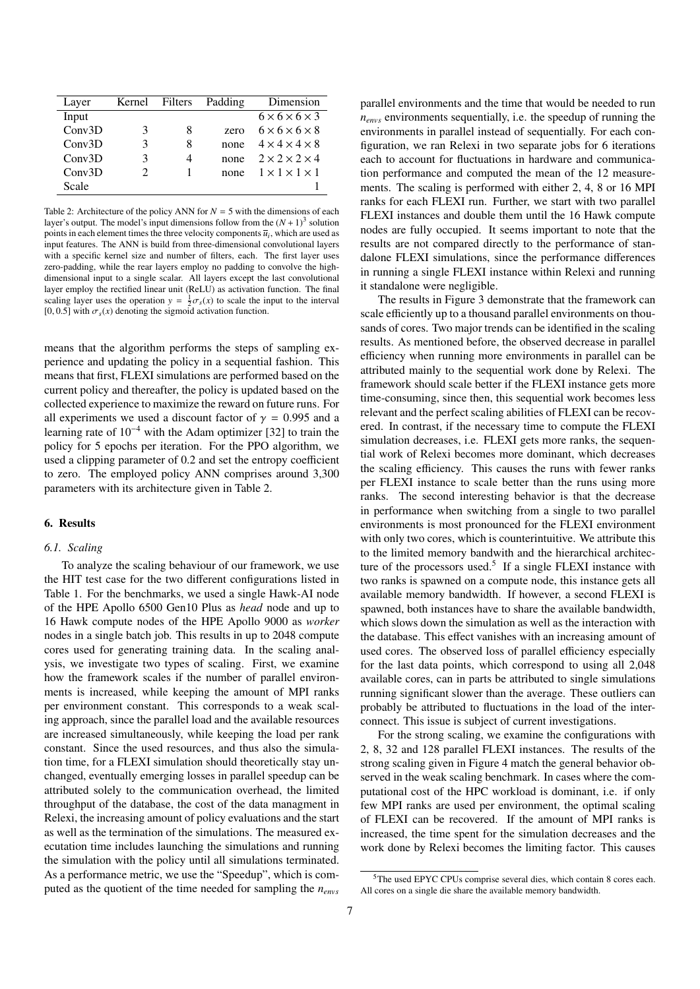| Layer  | Kernel Filters        |   | Padding | Dimension                      |  |
|--------|-----------------------|---|---------|--------------------------------|--|
| Input  |                       |   |         | $6 \times 6 \times 6 \times 3$ |  |
| Conv3D | 3                     | 8 | zero    | $6 \times 6 \times 6 \times 8$ |  |
| Conv3D | 3                     | 8 | none    | $4 \times 4 \times 4 \times 8$ |  |
| Conv3D | 3                     | 4 | none    | $2 \times 2 \times 2 \times 4$ |  |
| Conv3D | $\mathcal{D}_{\cdot}$ |   | none    | $1 \times 1 \times 1 \times 1$ |  |
| Scale  |                       |   |         |                                |  |

<span id="page-6-2"></span>Table 2: Architecture of the policy ANN for  $N = 5$  with the dimensions of each layer's output. The model's input dimensions follow from the  $(N + 1)<sup>3</sup>$  solution points in each element times the three velocity components  $\overline{u}_i$ , which are used as input features. The ANN is build from three-dimensional convolutional layers with a specific kernel size and number of filters, each. The first layer uses zero-padding, while the rear layers employ no padding to convolve the highdimensional input to a single scalar. All layers except the last convolutional layer employ the rectified linear unit (ReLU) as activation function. The final scaling layer uses the operation  $y = \frac{1}{2}\sigma_s(x)$  to scale the input to the interval [0, 0.5] with  $\sigma_s(x)$  denoting the sigmoid activation function.

means that the algorithm performs the steps of sampling experience and updating the policy in a sequential fashion. This means that first, FLEXI simulations are performed based on the current policy and thereafter, the policy is updated based on the collected experience to maximize the reward on future runs. For all experiments we used a discount factor of  $\gamma = 0.995$  and a learning rate of  $10^{-4}$  with the Adam optimizer [\[32\]](#page-10-17) to train the policy for 5 epochs per iteration. For the PPO algorithm, we used a clipping parameter of 0.2 and set the entropy coefficient to zero. The employed policy ANN comprises around 3,300 parameters with its architecture given in Table [2.](#page-6-2)

## <span id="page-6-0"></span>6. Results

## <span id="page-6-1"></span>*6.1. Scaling*

To analyze the scaling behaviour of our framework, we use the HIT test case for the two different configurations listed in Table [1.](#page-5-1) For the benchmarks, we used a single Hawk-AI node of the HPE Apollo 6500 Gen10 Plus as *head* node and up to 16 Hawk compute nodes of the HPE Apollo 9000 as *worker* nodes in a single batch job. This results in up to 2048 compute cores used for generating training data. In the scaling analysis, we investigate two types of scaling. First, we examine how the framework scales if the number of parallel environments is increased, while keeping the amount of MPI ranks per environment constant. This corresponds to a weak scaling approach, since the parallel load and the available resources are increased simultaneously, while keeping the load per rank constant. Since the used resources, and thus also the simulation time, for a FLEXI simulation should theoretically stay unchanged, eventually emerging losses in parallel speedup can be attributed solely to the communication overhead, the limited throughput of the database, the cost of the data managment in Relexi, the increasing amount of policy evaluations and the start as well as the termination of the simulations. The measured executation time includes launching the simulations and running the simulation with the policy until all simulations terminated. As a performance metric, we use the "Speedup", which is computed as the quotient of the time needed for sampling the *nenvs*

parallel environments and the time that would be needed to run *nenvs* environments sequentially, i.e. the speedup of running the environments in parallel instead of sequentially. For each configuration, we ran Relexi in two separate jobs for 6 iterations each to account for fluctuations in hardware and communication performance and computed the mean of the 12 measurements. The scaling is performed with either 2, 4, 8 or 16 MPI ranks for each FLEXI run. Further, we start with two parallel FLEXI instances and double them until the 16 Hawk compute nodes are fully occupied. It seems important to note that the results are not compared directly to the performance of standalone FLEXI simulations, since the performance differences in running a single FLEXI instance within Relexi and running it standalone were negligible.

The results in Figure [3](#page-7-1) demonstrate that the framework can scale efficiently up to a thousand parallel environments on thousands of cores. Two major trends can be identified in the scaling results. As mentioned before, the observed decrease in parallel efficiency when running more environments in parallel can be attributed mainly to the sequential work done by Relexi. The framework should scale better if the FLEXI instance gets more time-consuming, since then, this sequential work becomes less relevant and the perfect scaling abilities of FLEXI can be recovered. In contrast, if the necessary time to compute the FLEXI simulation decreases, i.e. FLEXI gets more ranks, the sequential work of Relexi becomes more dominant, which decreases the scaling efficiency. This causes the runs with fewer ranks per FLEXI instance to scale better than the runs using more ranks. The second interesting behavior is that the decrease in performance when switching from a single to two parallel environments is most pronounced for the FLEXI environment with only two cores, which is counterintuitive. We attribute this to the limited memory bandwith and the hierarchical architec-ture of the processors used.<sup>[5](#page-6-3)</sup> If a single FLEXI instance with two ranks is spawned on a compute node, this instance gets all available memory bandwidth. If however, a second FLEXI is spawned, both instances have to share the available bandwidth, which slows down the simulation as well as the interaction with the database. This effect vanishes with an increasing amount of used cores. The observed loss of parallel efficiency especially for the last data points, which correspond to using all 2,048 available cores, can in parts be attributed to single simulations running significant slower than the average. These outliers can probably be attributed to fluctuations in the load of the interconnect. This issue is subject of current investigations.

For the strong scaling, we examine the configurations with 2, 8, 32 and 128 parallel FLEXI instances. The results of the strong scaling given in Figure [4](#page-8-0) match the general behavior observed in the weak scaling benchmark. In cases where the computational cost of the HPC workload is dominant, i.e. if only few MPI ranks are used per environment, the optimal scaling of FLEXI can be recovered. If the amount of MPI ranks is increased, the time spent for the simulation decreases and the work done by Relexi becomes the limiting factor. This causes

<span id="page-6-3"></span><sup>5</sup>The used EPYC CPUs comprise several dies, which contain 8 cores each. All cores on a single die share the available memory bandwidth.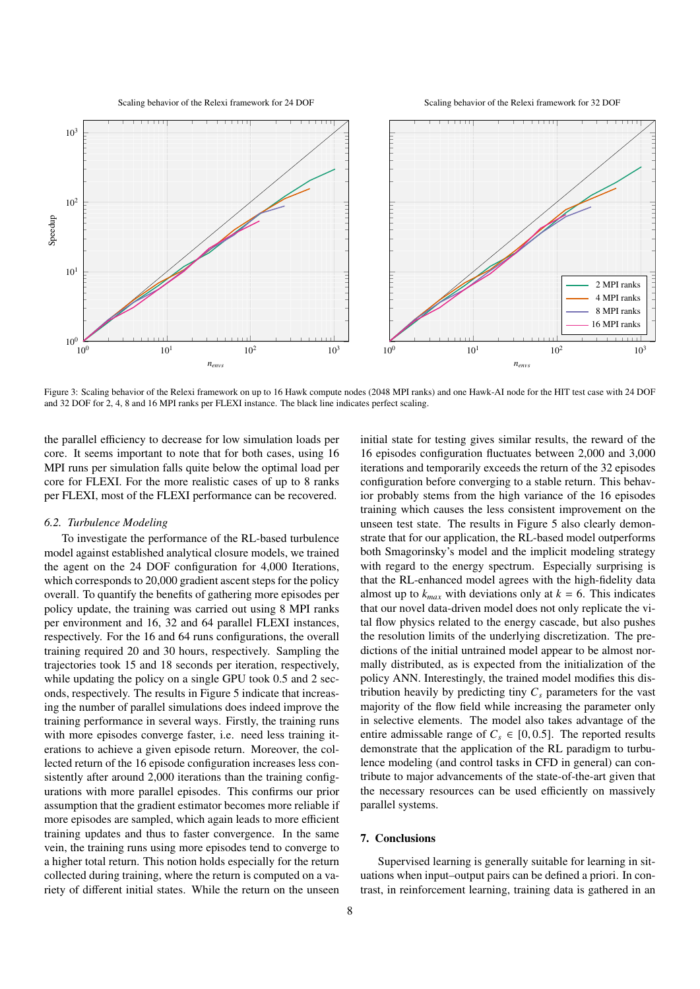Scaling behavior of the Relexi framework for 24 DOF

Scaling behavior of the Relexi framework for 32 DOF



<span id="page-7-1"></span>Figure 3: Scaling behavior of the Relexi framework on up to 16 Hawk compute nodes (2048 MPI ranks) and one Hawk-AI node for the HIT test case with 24 DOF and 32 DOF for 2, 4, 8 and 16 MPI ranks per FLEXI instance. The black line indicates perfect scaling.

the parallel efficiency to decrease for low simulation loads per core. It seems important to note that for both cases, using 16 MPI runs per simulation falls quite below the optimal load per core for FLEXI. For the more realistic cases of up to 8 ranks per FLEXI, most of the FLEXI performance can be recovered.

#### *6.2. Turbulence Modeling*

To investigate the performance of the RL-based turbulence model against established analytical closure models, we trained the agent on the 24 DOF configuration for 4,000 Iterations, which corresponds to 20,000 gradient ascent steps for the policy overall. To quantify the benefits of gathering more episodes per policy update, the training was carried out using 8 MPI ranks per environment and 16, 32 and 64 parallel FLEXI instances, respectively. For the 16 and 64 runs configurations, the overall training required 20 and 30 hours, respectively. Sampling the trajectories took 15 and 18 seconds per iteration, respectively, while updating the policy on a single GPU took 0.5 and 2 seconds, respectively. The results in Figure [5](#page-9-14) indicate that increasing the number of parallel simulations does indeed improve the training performance in several ways. Firstly, the training runs with more episodes converge faster, i.e. need less training iterations to achieve a given episode return. Moreover, the collected return of the 16 episode configuration increases less consistently after around 2,000 iterations than the training configurations with more parallel episodes. This confirms our prior assumption that the gradient estimator becomes more reliable if more episodes are sampled, which again leads to more efficient training updates and thus to faster convergence. In the same vein, the training runs using more episodes tend to converge to a higher total return. This notion holds especially for the return collected during training, where the return is computed on a variety of different initial states. While the return on the unseen

initial state for testing gives similar results, the reward of the 16 episodes configuration fluctuates between 2,000 and 3,000 iterations and temporarily exceeds the return of the 32 episodes configuration before converging to a stable return. This behavior probably stems from the high variance of the 16 episodes training which causes the less consistent improvement on the unseen test state. The results in Figure [5](#page-9-14) also clearly demonstrate that for our application, the RL-based model outperforms both Smagorinsky's model and the implicit modeling strategy with regard to the energy spectrum. Especially surprising is that the RL-enhanced model agrees with the high-fidelity data almost up to  $k_{max}$  with deviations only at  $k = 6$ . This indicates that our novel data-driven model does not only replicate the vital flow physics related to the energy cascade, but also pushes the resolution limits of the underlying discretization. The predictions of the initial untrained model appear to be almost normally distributed, as is expected from the initialization of the policy ANN. Interestingly, the trained model modifies this distribution heavily by predicting tiny  $C_s$  parameters for the vast majority of the flow field while increasing the parameter only in selective elements. The model also takes advantage of the entire admissable range of  $C_s \in [0, 0.5]$ . The reported results demonstrate that the application of the RL paradigm to turbulence modeling (and control tasks in CFD in general) can contribute to major advancements of the state-of-the-art given that the necessary resources can be used efficiently on massively parallel systems.

## <span id="page-7-0"></span>7. Conclusions

Supervised learning is generally suitable for learning in situations when input–output pairs can be defined a priori. In contrast, in reinforcement learning, training data is gathered in an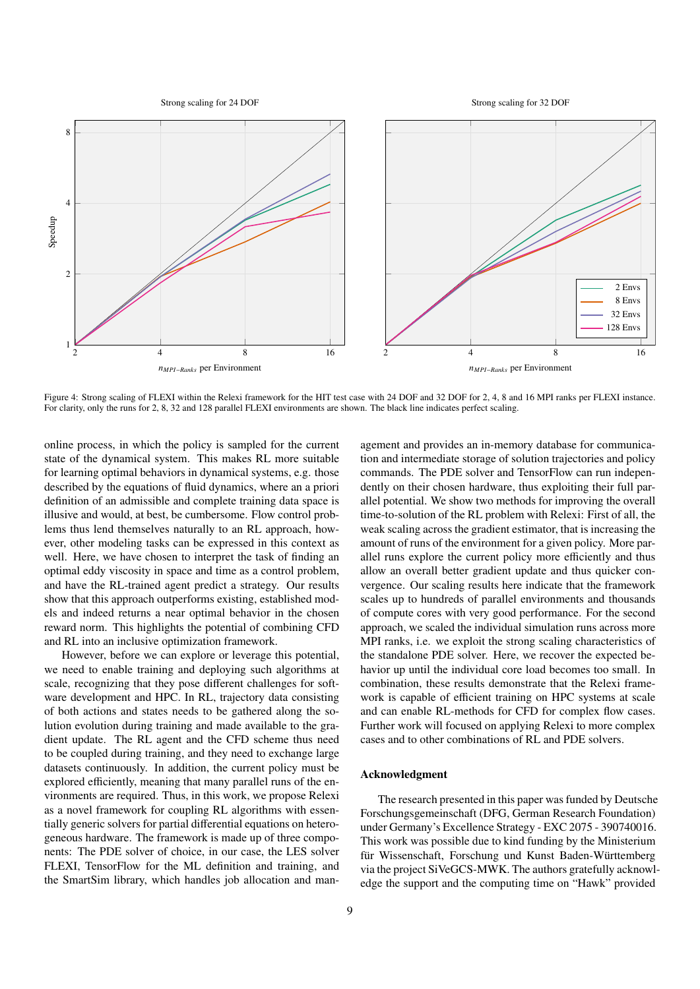Strong scaling for 24 DOF

Strong scaling for 32 DOF



<span id="page-8-0"></span>Figure 4: Strong scaling of FLEXI within the Relexi framework for the HIT test case with 24 DOF and 32 DOF for 2, 4, 8 and 16 MPI ranks per FLEXI instance. For clarity, only the runs for 2, 8, 32 and 128 parallel FLEXI environments are shown. The black line indicates perfect scaling.

online process, in which the policy is sampled for the current state of the dynamical system. This makes RL more suitable for learning optimal behaviors in dynamical systems, e.g. those described by the equations of fluid dynamics, where an a priori definition of an admissible and complete training data space is illusive and would, at best, be cumbersome. Flow control problems thus lend themselves naturally to an RL approach, however, other modeling tasks can be expressed in this context as well. Here, we have chosen to interpret the task of finding an optimal eddy viscosity in space and time as a control problem, and have the RL-trained agent predict a strategy. Our results show that this approach outperforms existing, established models and indeed returns a near optimal behavior in the chosen reward norm. This highlights the potential of combining CFD and RL into an inclusive optimization framework.

However, before we can explore or leverage this potential, we need to enable training and deploying such algorithms at scale, recognizing that they pose different challenges for software development and HPC. In RL, trajectory data consisting of both actions and states needs to be gathered along the solution evolution during training and made available to the gradient update. The RL agent and the CFD scheme thus need to be coupled during training, and they need to exchange large datasets continuously. In addition, the current policy must be explored efficiently, meaning that many parallel runs of the environments are required. Thus, in this work, we propose Relexi as a novel framework for coupling RL algorithms with essentially generic solvers for partial differential equations on heterogeneous hardware. The framework is made up of three components: The PDE solver of choice, in our case, the LES solver FLEXI, TensorFlow for the ML definition and training, and the SmartSim library, which handles job allocation and management and provides an in-memory database for communication and intermediate storage of solution trajectories and policy commands. The PDE solver and TensorFlow can run independently on their chosen hardware, thus exploiting their full parallel potential. We show two methods for improving the overall time-to-solution of the RL problem with Relexi: First of all, the weak scaling across the gradient estimator, that is increasing the amount of runs of the environment for a given policy. More parallel runs explore the current policy more efficiently and thus allow an overall better gradient update and thus quicker convergence. Our scaling results here indicate that the framework scales up to hundreds of parallel environments and thousands of compute cores with very good performance. For the second approach, we scaled the individual simulation runs across more MPI ranks, i.e. we exploit the strong scaling characteristics of the standalone PDE solver. Here, we recover the expected behavior up until the individual core load becomes too small. In combination, these results demonstrate that the Relexi framework is capable of efficient training on HPC systems at scale and can enable RL-methods for CFD for complex flow cases. Further work will focused on applying Relexi to more complex cases and to other combinations of RL and PDE solvers.

## Acknowledgment

The research presented in this paper was funded by Deutsche Forschungsgemeinschaft (DFG, German Research Foundation) under Germany's Excellence Strategy - EXC 2075 - 390740016. This work was possible due to kind funding by the Ministerium für Wissenschaft, Forschung und Kunst Baden-Württemberg via the project SiVeGCS-MWK. The authors gratefully acknowledge the support and the computing time on "Hawk" provided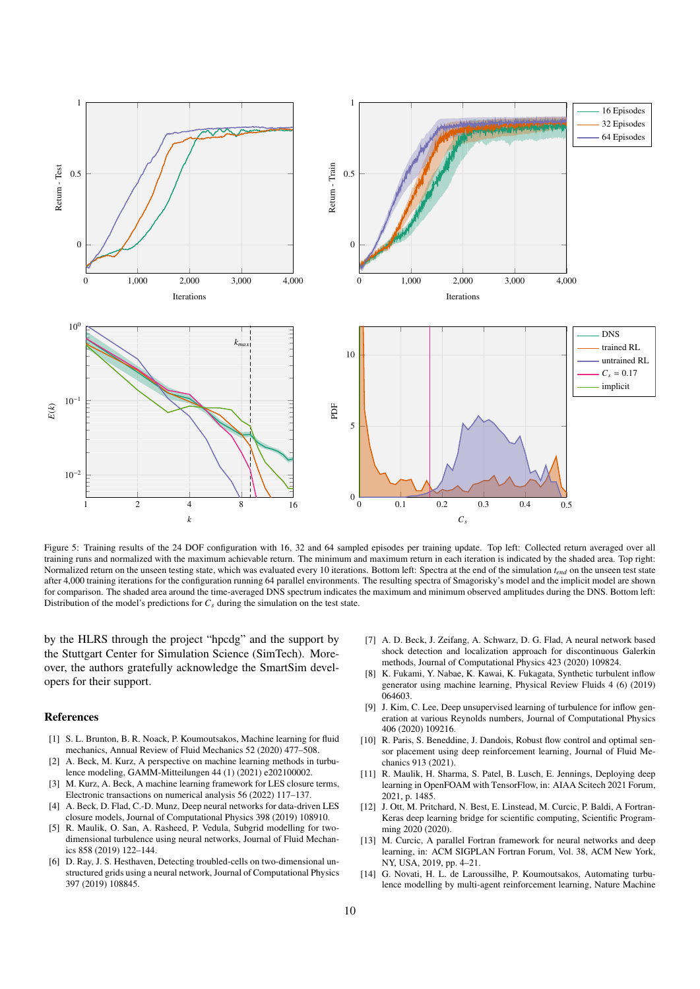

<span id="page-9-14"></span>Figure 5: Training results of the 24 DOF configuration with 16, 32 and 64 sampled episodes per training update. Top left: Collected return averaged over all training runs and normalized with the maximum achievable return. The minimum and maximum return in each iteration is indicated by the shaded area. Top right: Normalized return on the unseen testing state, which was evaluated every 10 iterations. Bottom left: Spectra at the end of the simulation *tend* on the unseen test state after 4,000 training iterations for the configuration running 64 parallel environments. The resulting spectra of Smagorisky's model and the implicit model are shown for comparison. The shaded area around the time-averaged DNS spectrum indicates the maximum and minimum observed amplitudes during the DNS. Bottom left: Distribution of the model's predictions for  $C_s$  during the simulation on the test state.

by the HLRS through the project "hpcdg" and the support by the Stuttgart Center for Simulation Science (SimTech). Moreover, the authors gratefully acknowledge the SmartSim developers for their support.

## References

- <span id="page-9-0"></span>[1] S. L. Brunton, B. R. Noack, P. Koumoutsakos, Machine learning for fluid mechanics, Annual Review of Fluid Mechanics 52 (2020) 477–508.
- <span id="page-9-1"></span>[2] A. Beck, M. Kurz, A perspective on machine learning methods in turbulence modeling, GAMM-Mitteilungen 44 (1) (2021) e202100002.
- <span id="page-9-2"></span>[3] M. Kurz, A. Beck, A machine learning framework for LES closure terms, Electronic transactions on numerical analysis 56 (2022) 117–137.
- <span id="page-9-3"></span>[4] A. Beck, D. Flad, C.-D. Munz, Deep neural networks for data-driven LES closure models, Journal of Computational Physics 398 (2019) 108910.
- <span id="page-9-4"></span>[5] R. Maulik, O. San, A. Rasheed, P. Vedula, Subgrid modelling for twodimensional turbulence using neural networks, Journal of Fluid Mechanics 858 (2019) 122–144.
- <span id="page-9-5"></span>[6] D. Ray, J. S. Hesthaven, Detecting troubled-cells on two-dimensional unstructured grids using a neural network, Journal of Computational Physics 397 (2019) 108845.
- <span id="page-9-6"></span>[7] A. D. Beck, J. Zeifang, A. Schwarz, D. G. Flad, A neural network based shock detection and localization approach for discontinuous Galerkin methods, Journal of Computational Physics 423 (2020) 109824.
- <span id="page-9-7"></span>[8] K. Fukami, Y. Nabae, K. Kawai, K. Fukagata, Synthetic turbulent inflow generator using machine learning, Physical Review Fluids 4 (6) (2019) 064603.
- <span id="page-9-8"></span>[9] J. Kim, C. Lee, Deep unsupervised learning of turbulence for inflow generation at various Reynolds numbers, Journal of Computational Physics 406 (2020) 109216.
- <span id="page-9-9"></span>[10] R. Paris, S. Beneddine, J. Dandois, Robust flow control and optimal sensor placement using deep reinforcement learning, Journal of Fluid Mechanics 913 (2021).
- <span id="page-9-10"></span>[11] R. Maulik, H. Sharma, S. Patel, B. Lusch, E. Jennings, Deploying deep learning in OpenFOAM with TensorFlow, in: AIAA Scitech 2021 Forum, 2021, p. 1485.
- <span id="page-9-11"></span>[12] J. Ott, M. Pritchard, N. Best, E. Linstead, M. Curcic, P. Baldi, A Fortran-Keras deep learning bridge for scientific computing, Scientific Programming 2020 (2020).
- <span id="page-9-12"></span>[13] M. Curcic, A parallel Fortran framework for neural networks and deep learning, in: ACM SIGPLAN Fortran Forum, Vol. 38, ACM New York, NY, USA, 2019, pp. 4–21.
- <span id="page-9-13"></span>[14] G. Novati, H. L. de Laroussilhe, P. Koumoutsakos, Automating turbulence modelling by multi-agent reinforcement learning, Nature Machine